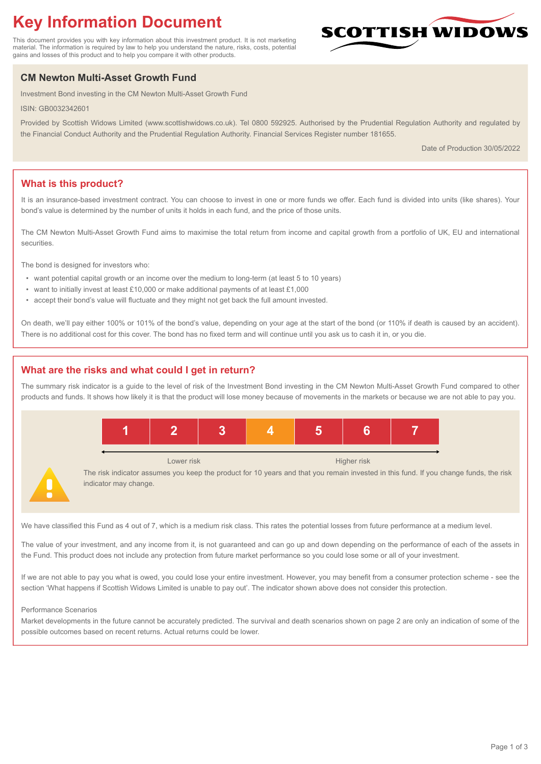# **Key Information Document**

This document provides you with key information about this investment product. It is not marketing material. The information is required by law to help you understand the nature, risks, costs, potential gains and losses of this product and to help you compare it with other products.

# **CM Newton Multi-Asset Growth Fund**

Investment Bond investing in the CM Newton Multi-Asset Growth Fund

ISIN: GB0032342601

Provided by Scottish Widows Limited (www.scottishwidows.co.uk). Tel 0800 592925. Authorised by the Prudential Regulation Authority and regulated by the Financial Conduct Authority and the Prudential Regulation Authority. Financial Services Register number 181655.

Date of Production 30/05/2022

**SCOTTISH WIDOW** 

# **What is this product?**

It is an insurance-based investment contract. You can choose to invest in one or more funds we offer. Each fund is divided into units (like shares). Your bond's value is determined by the number of units it holds in each fund, and the price of those units.

The CM Newton Multi-Asset Growth Fund aims to maximise the total return from income and capital growth from a portfolio of UK, EU and international securities.

The bond is designed for investors who:

- want potential capital growth or an income over the medium to long-term (at least 5 to 10 years)
- want to initially invest at least £10,000 or make additional payments of at least £1,000
- accept their bond's value will fluctuate and they might not get back the full amount invested.

On death, we'll pay either 100% or 101% of the bond's value, depending on your age at the start of the bond (or 110% if death is caused by an accident). There is no additional cost for this cover. The bond has no fixed term and will continue until you ask us to cash it in, or you die.

# **What are the risks and what could I get in return?**

The summary risk indicator is a guide to the level of risk of the Investment Bond investing in the CM Newton Multi-Asset Growth Fund compared to other products and funds. It shows how likely it is that the product will lose money because of movements in the markets or because we are not able to pay you.



We have classified this Fund as 4 out of 7, which is a medium risk class. This rates the potential losses from future performance at a medium level.

The value of your investment, and any income from it, is not guaranteed and can go up and down depending on the performance of each of the assets in the Fund. This product does not include any protection from future market performance so you could lose some or all of your investment.

If we are not able to pay you what is owed, you could lose your entire investment. However, you may benefit from a consumer protection scheme - see the section 'What happens if Scottish Widows Limited is unable to pay out'. The indicator shown above does not consider this protection.

#### Performance Scenarios

Market developments in the future cannot be accurately predicted. The survival and death scenarios shown on page 2 are only an indication of some of the possible outcomes based on recent returns. Actual returns could be lower.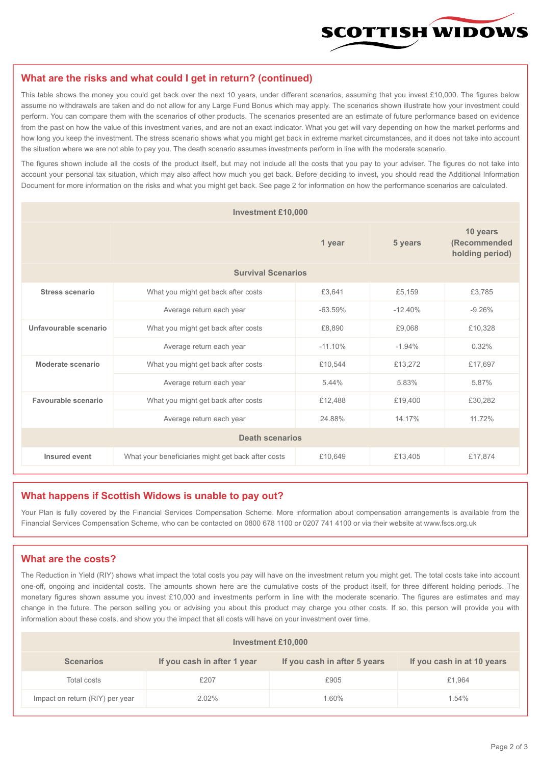

#### **What are the risks and what could I get in return? (continued)**

This table shows the money you could get back over the next 10 years, under different scenarios, assuming that you invest £10,000. The figures below assume no withdrawals are taken and do not allow for any Large Fund Bonus which may apply. The scenarios shown illustrate how your investment could perform. You can compare them with the scenarios of other products. The scenarios presented are an estimate of future performance based on evidence from the past on how the value of this investment varies, and are not an exact indicator. What you get will vary depending on how the market performs and how long you keep the investment. The stress scenario shows what you might get back in extreme market circumstances, and it does not take into account the situation where we are not able to pay you. The death scenario assumes investments perform in line with the moderate scenario.

The figures shown include all the costs of the product itself, but may not include all the costs that you pay to your adviser. The figures do not take into account your personal tax situation, which may also affect how much you get back. Before deciding to invest, you should read the Additional Information Document for more information on the risks and what you might get back. See page 2 for information on how the performance scenarios are calculated.

| <b>Investment £10,000</b> |                                                    |           |                                             |          |  |  |
|---------------------------|----------------------------------------------------|-----------|---------------------------------------------|----------|--|--|
|                           |                                                    | 5 years   | 10 years<br>(Recommended<br>holding period) |          |  |  |
| <b>Survival Scenarios</b> |                                                    |           |                                             |          |  |  |
| <b>Stress scenario</b>    | £3,641<br>What you might get back after costs      |           | £5,159                                      | £3,785   |  |  |
|                           | $-63.59%$<br>Average return each year              |           | $-12.40%$                                   | $-9.26%$ |  |  |
| Unfavourable scenario     | What you might get back after costs<br>£8,890      |           | £9,068                                      | £10,328  |  |  |
|                           | Average return each year                           | $-11.10%$ | $-1.94%$                                    | 0.32%    |  |  |
| Moderate scenario         | What you might get back after costs                | £10,544   | £13,272                                     | £17,697  |  |  |
|                           | Average return each year                           | 5.44%     | 5.83%                                       | 5.87%    |  |  |
| Favourable scenario       | What you might get back after costs                | £12,488   | £19,400                                     | £30,282  |  |  |
| Average return each year  |                                                    | 24.88%    | 14.17%                                      | 11.72%   |  |  |
| <b>Death scenarios</b>    |                                                    |           |                                             |          |  |  |
| Insured event             | What your beneficiaries might get back after costs | £10,649   | £13,405                                     | £17,874  |  |  |

#### **What happens if Scottish Widows is unable to pay out?**

Your Plan is fully covered by the Financial Services Compensation Scheme. More information about compensation arrangements is available from the Financial Services Compensation Scheme, who can be contacted on 0800 678 1100 or 0207 741 4100 or via their website at www.fscs.org.uk

# **What are the costs?**

The Reduction in Yield (RIY) shows what impact the total costs you pay will have on the investment return you might get. The total costs take into account one-off, ongoing and incidental costs. The amounts shown here are the cumulative costs of the product itself, for three different holding periods. The monetary figures shown assume you invest £10,000 and investments perform in line with the moderate scenario. The figures are estimates and may change in the future. The person selling you or advising you about this product may charge you other costs. If so, this person will provide you with information about these costs, and show you the impact that all costs will have on your investment over time.

| Investment £10,000              |                             |                              |                            |  |  |  |
|---------------------------------|-----------------------------|------------------------------|----------------------------|--|--|--|
| <b>Scenarios</b>                | If you cash in after 1 year | If you cash in after 5 years | If you cash in at 10 years |  |  |  |
| Total costs                     | £207                        | £905                         | £1,964                     |  |  |  |
| Impact on return (RIY) per year | 2.02%                       | 1.60%                        | 1.54%                      |  |  |  |